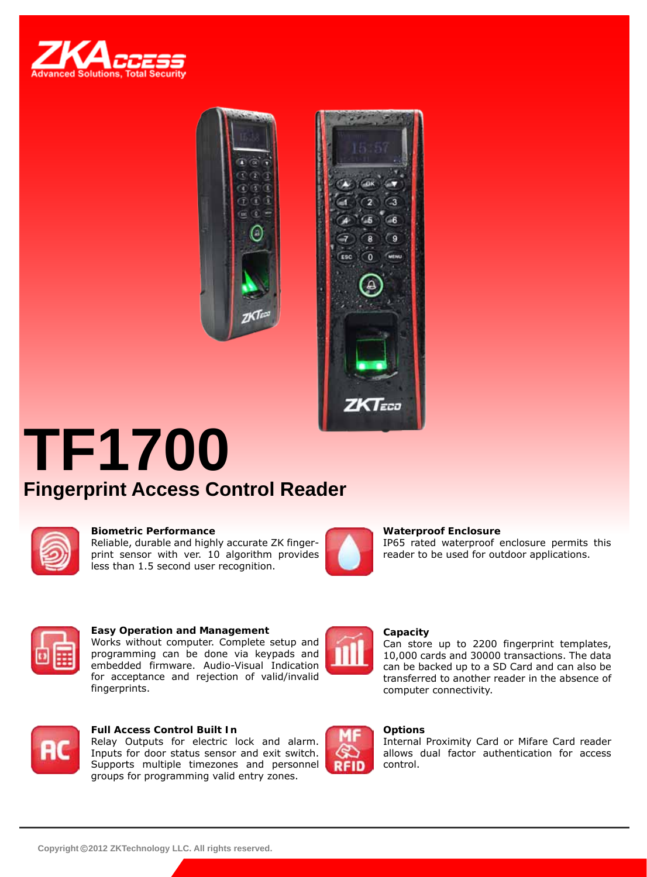





# **TF1700 Fingerprint Access Control Reader**



#### **Biometric Performance**

Reliable, durable and highly accurate ZK fingerprint sensor with ver. 10 algorithm provides less than 1.5 second user recognition.



#### **Waterproof Enclosure**

IP65 rated waterproof enclosure permits this reader to be used for outdoor applications.



#### **Easy Operation and Management**

Works without computer. Complete setup and programming can be done via keypads and embedded firmware. Audio-Visual Indication for acceptance and rejection of valid/invalid fingerprints.



#### **Capacity**

Can store up to 2200 fingerprint templates, 10,000 cards and 30000 transactions. The data can be backed up to a SD Card and can also be transferred to another reader in the absence of computer connectivity.



### **Full Access Control Built In**

Relay Outputs for electric lock and alarm. Inputs for door status sensor and exit switch. Supports multiple timezones and personnel groups for programming valid entry zones.



#### **Options**

Internal Proximity Card or Mifare Card reader allows dual factor authentication for access control.